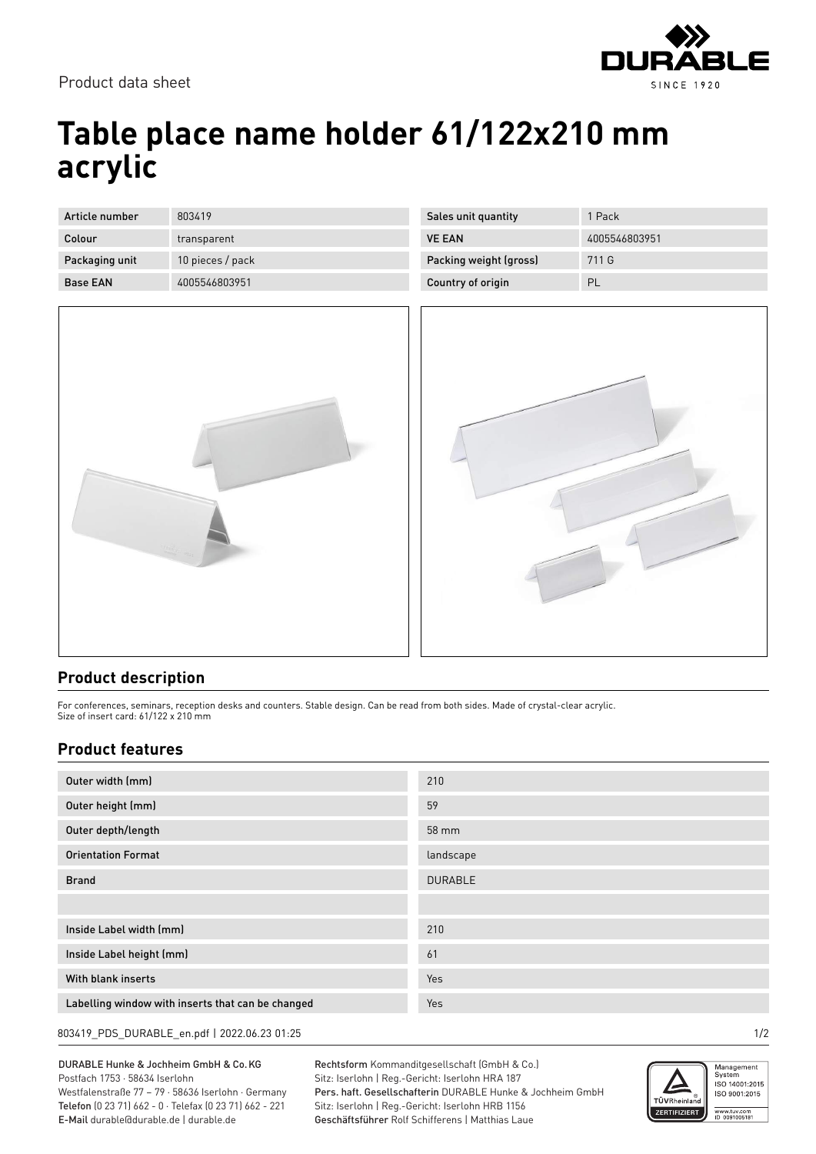

## **Table place name holder 61/122x210 mm acrylic**

| Article number  | 803419           |
|-----------------|------------------|
| Colour          | transparent      |
| Packaging unit  | 10 pieces / pack |
| <b>Base FAN</b> | 4005546803951    |



| Sales unit quantity    | 1 Pack        |
|------------------------|---------------|
| <b>VE FAN</b>          | 4005546803951 |
| Packing weight (gross) | 711 G         |
| Country of origin      | PL            |



## **Product description**

For conferences, seminars, reception desks and counters. Stable design. Can be read from both sides. Made of crystal-clear acrylic. Size of insert card: 61/122 x 210 mm

## **Product features**

| Outer width (mm)                                  | 210            |
|---------------------------------------------------|----------------|
| Outer height (mm)                                 | 59             |
| Outer depth/length                                | 58 mm          |
| <b>Orientation Format</b>                         | landscape      |
| <b>Brand</b>                                      | <b>DURABLE</b> |
|                                                   |                |
| Inside Label width (mm)                           | 210            |
| Inside Label height (mm)                          | 61             |
| With blank inserts                                | Yes            |
| Labelling window with inserts that can be changed | Yes            |

803419\_PDS\_DURABLE\_en.pdf | 2022.06.23 01:25 1/2

DURABLE Hunke & Jochheim GmbH & Co.KG Postfach 1753 · 58634 Iserlohn Westfalenstraße 77 – 79 · 58636 Iserlohn · Germany Telefon (0 23 71) 662 - 0 · Telefax (0 23 71) 662 - 221

E-Mail durable@durable.de | durable.de

Rechtsform Kommanditgesellschaft (GmbH & Co.) Sitz: Iserlohn | Reg.-Gericht: Iserlohn HRA 187 Pers. haft. Gesellschafterin DURABLE Hunke & Jochheim GmbH Sitz: Iserlohn | Reg.-Gericht: Iserlohn HRB 1156 Geschäftsführer Rolf Schifferens | Matthias Laue